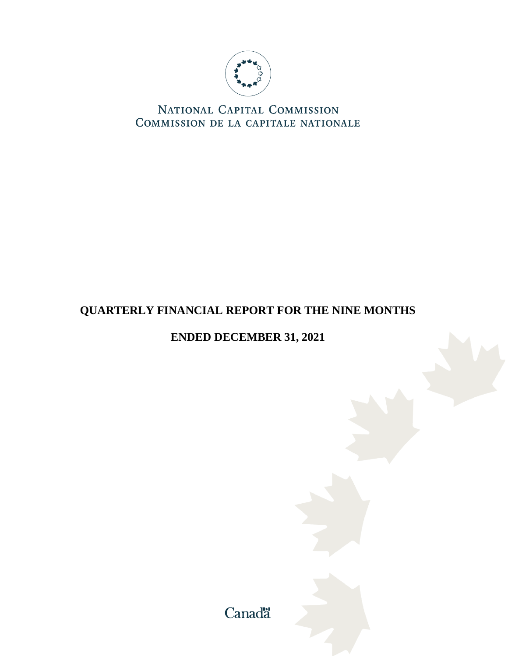

NATIONAL CAPITAL COMMISSION COMMISSION DE LA CAPITALE NATIONALE

# **QUARTERLY FINANCIAL REPORT FOR THE NINE MONTHS**

# **ENDED DECEMBER 31, 2021**

Canadä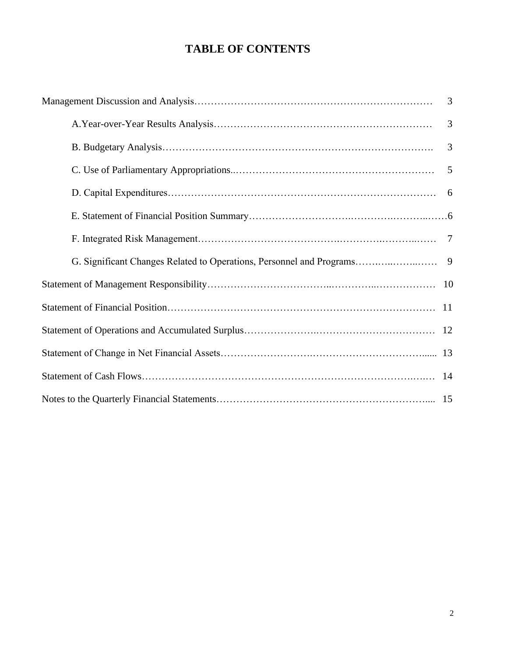# **TABLE OF CONTENTS**

| $\overline{3}$ |
|----------------|
| 3              |
| 3              |
|                |
|                |
|                |
|                |
|                |
|                |
|                |
|                |
|                |
|                |
|                |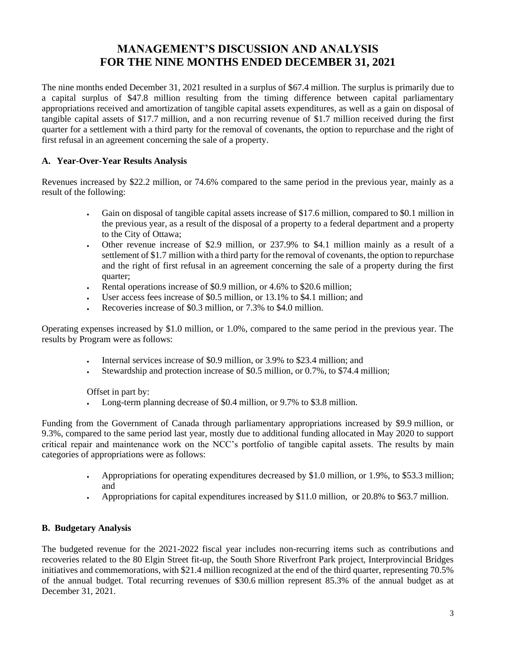# **MANAGEMENT'S DISCUSSION AND ANALYSIS FOR THE NINE MONTHS ENDED DECEMBER 31, 2021**

The nine months ended December 31, 2021 resulted in a surplus of \$67.4 million. The surplus is primarily due to a capital surplus of \$47.8 million resulting from the timing difference between capital parliamentary appropriations received and amortization of tangible capital assets expenditures, as well as a gain on disposal of tangible capital assets of \$17.7 million, and a non recurring revenue of \$1.7 million received during the first quarter for a settlement with a third party for the removal of covenants, the option to repurchase and the right of first refusal in an agreement concerning the sale of a property.

# **A. Year-Over-Year Results Analysis**

Revenues increased by \$22.2 million, or 74.6% compared to the same period in the previous year, mainly as a result of the following:

- Gain on disposal of tangible capital assets increase of \$17.6 million, compared to \$0.1 million in the previous year, as a result of the disposal of a property to a federal department and a property to the City of Ottawa;
- Other revenue increase of \$2.9 million, or 237.9% to \$4.1 million mainly as a result of a settlement of \$1.7 million with a third party for the removal of covenants, the option to repurchase and the right of first refusal in an agreement concerning the sale of a property during the first quarter;
- Rental operations increase of \$0.9 million, or 4.6% to \$20.6 million;
- User access fees increase of \$0.5 million, or 13.1% to \$4.1 million; and
- Recoveries increase of \$0.3 million, or 7.3% to \$4.0 million.

Operating expenses increased by \$1.0 million, or 1.0%, compared to the same period in the previous year. The results by Program were as follows:

- Internal services increase of \$0.9 million, or 3.9% to \$23.4 million; and
- Stewardship and protection increase of \$0.5 million, or 0.7%, to \$74.4 million;

Offset in part by:

• Long-term planning decrease of \$0.4 million, or 9.7% to \$3.8 million.

Funding from the Government of Canada through parliamentary appropriations increased by \$9.9 million, or 9.3%, compared to the same period last year, mostly due to additional funding allocated in May 2020 to support critical repair and maintenance work on the NCC's portfolio of tangible capital assets. The results by main categories of appropriations were as follows:

- Appropriations for operating expenditures decreased by \$1.0 million, or 1.9%, to \$53.3 million; and
- Appropriations for capital expenditures increased by \$11.0 million, or 20.8% to \$63.7 million.

#### **B. Budgetary Analysis**

The budgeted revenue for the 2021-2022 fiscal year includes non-recurring items such as contributions and recoveries related to the 80 Elgin Street fit-up, the South Shore Riverfront Park project, Interprovincial Bridges initiatives and commemorations, with \$21.4 million recognized at the end of the third quarter, representing 70.5% of the annual budget. Total recurring revenues of \$30.6 million represent 85.3% of the annual budget as at December 31, 2021.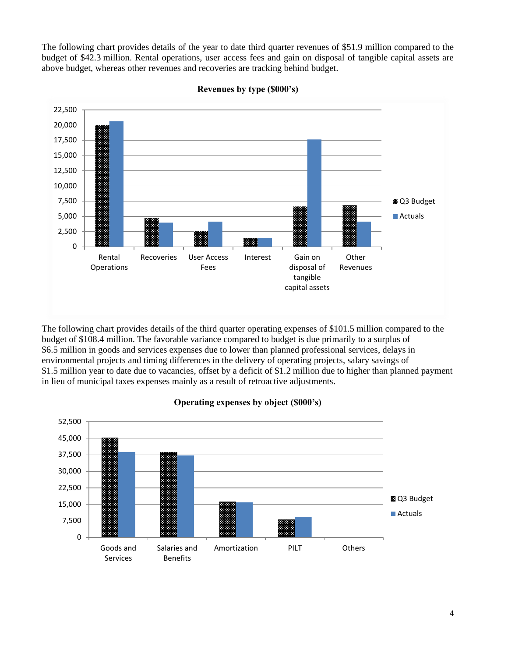The following chart provides details of the year to date third quarter revenues of \$51.9 million compared to the budget of \$42.3 million. Rental operations, user access fees and gain on disposal of tangible capital assets are above budget, whereas other revenues and recoveries are tracking behind budget.



**Revenues by type (\$000's)**

The following chart provides details of the third quarter operating expenses of \$101.5 million compared to the budget of \$108.4 million. The favorable variance compared to budget is due primarily to a surplus of \$6.5 million in goods and services expenses due to lower than planned professional services, delays in environmental projects and timing differences in the delivery of operating projects, salary savings of \$1.5 million year to date due to vacancies, offset by a deficit of \$1.2 million due to higher than planned payment in lieu of municipal taxes expenses mainly as a result of retroactive adjustments.



# **Operating expenses by object (\$000's)**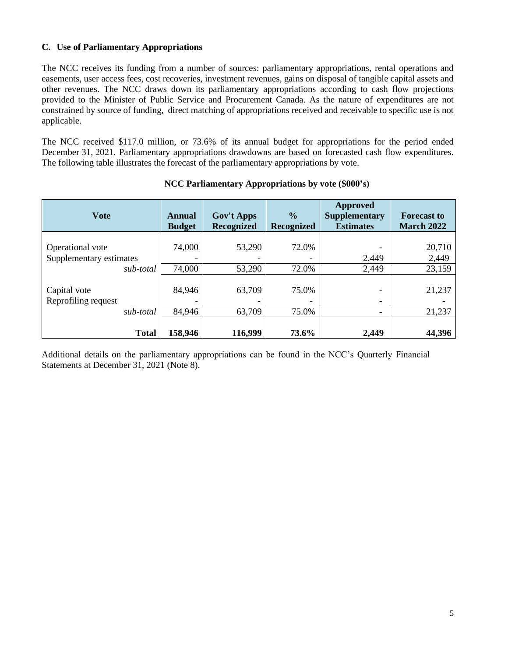#### **C. Use of Parliamentary Appropriations**

The NCC receives its funding from a number of sources: parliamentary appropriations, rental operations and easements, user access fees, cost recoveries, investment revenues, gains on disposal of tangible capital assets and other revenues. The NCC draws down its parliamentary appropriations according to cash flow projections provided to the Minister of Public Service and Procurement Canada. As the nature of expenditures are not constrained by source of funding, direct matching of appropriations received and receivable to specific use is not applicable.

The NCC received \$117.0 million, or 73.6% of its annual budget for appropriations for the period ended December 31, 2021. Parliamentary appropriations drawdowns are based on forecasted cash flow expenditures. The following table illustrates the forecast of the parliamentary appropriations by vote.

| <b>Vote</b>                                 |              | Annual<br><b>Budget</b> | <b>Gov't Apps</b><br><b>Recognized</b> | $\frac{0}{0}$<br><b>Recognized</b> | <b>Approved</b><br><b>Supplementary</b><br><b>Estimates</b> | <b>Forecast to</b><br><b>March 2022</b> |
|---------------------------------------------|--------------|-------------------------|----------------------------------------|------------------------------------|-------------------------------------------------------------|-----------------------------------------|
| Operational vote<br>Supplementary estimates |              | 74,000                  | 53,290                                 | 72.0%                              | 2,449                                                       | 20,710<br>2,449                         |
|                                             | sub-total    | 74,000                  | 53,290                                 | 72.0%                              | 2,449                                                       | 23,159                                  |
| Capital vote<br>Reprofiling request         |              | 84,946                  | 63,709                                 | 75.0%<br>۰                         | -                                                           | 21,237                                  |
|                                             | sub-total    | 84,946                  | 63,709                                 | 75.0%                              |                                                             | 21,237                                  |
|                                             | <b>Total</b> | 158,946                 | 116,999                                | 73.6%                              | 2,449                                                       | 44,396                                  |

#### **NCC Parliamentary Appropriations by vote (\$000's)**

Additional details on the parliamentary appropriations can be found in the NCC's Quarterly Financial Statements at December 31, 2021 (Note 8).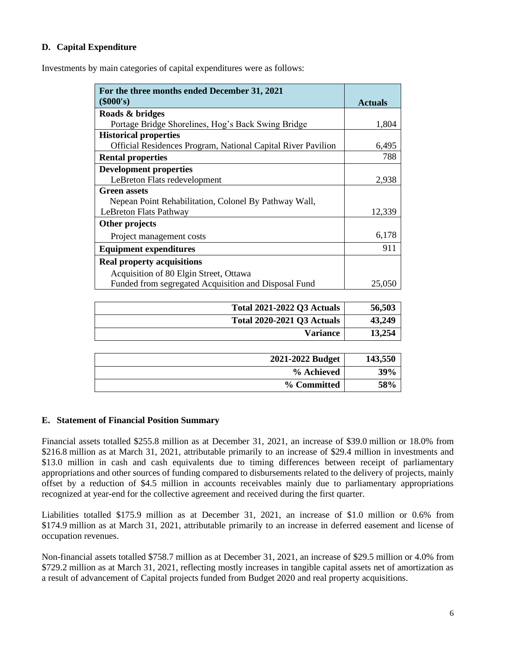## **D. Capital Expenditure**

Investments by main categories of capital expenditures were as follows:

| For the three months ended December 31, 2021                 |                |
|--------------------------------------------------------------|----------------|
| $(\$000's)$                                                  | <b>Actuals</b> |
| Roads & bridges                                              |                |
| Portage Bridge Shorelines, Hog's Back Swing Bridge           | 1,804          |
| <b>Historical properties</b>                                 |                |
| Official Residences Program, National Capital River Pavilion | 6,495          |
| <b>Rental properties</b>                                     | 788            |
| <b>Development properties</b>                                |                |
| LeBreton Flats redevelopment                                 | 2,938          |
| <b>Green assets</b>                                          |                |
| Nepean Point Rehabilitation, Colonel By Pathway Wall,        |                |
| LeBreton Flats Pathway                                       | 12,339         |
| Other projects                                               |                |
| Project management costs                                     | 6,178          |
| <b>Equipment expenditures</b>                                | 911            |
| <b>Real property acquisitions</b>                            |                |
| Acquisition of 80 Elgin Street, Ottawa                       |                |
| Funded from segregated Acquisition and Disposal Fund         | 25,050         |

| <b>Total 2021-2022 Q3 Actuals</b> | 56,503  |
|-----------------------------------|---------|
| <b>Total 2020-2021 Q3 Actuals</b> | 43,249  |
| <b>Variance</b>                   | 13,254  |
|                                   |         |
| 2021-2022 Budget                  | 143,550 |
| % Achieved                        | 39%     |
| % Committed                       | 58%     |

### **E. Statement of Financial Position Summary**

Financial assets totalled \$255.8 million as at December 31, 2021, an increase of \$39.0 million or 18.0% from \$216.8 million as at March 31, 2021, attributable primarily to an increase of \$29.4 million in investments and \$13.0 million in cash and cash equivalents due to timing differences between receipt of parliamentary appropriations and other sources of funding compared to disbursements related to the delivery of projects, mainly offset by a reduction of \$4.5 million in accounts receivables mainly due to parliamentary appropriations recognized at year-end for the collective agreement and received during the first quarter.

Liabilities totalled \$175.9 million as at December 31, 2021, an increase of \$1.0 million or 0.6% from \$174.9 million as at March 31, 2021, attributable primarily to an increase in deferred easement and license of occupation revenues.

Non-financial assets totalled \$758.7 million as at December 31, 2021, an increase of \$29.5 million or 4.0% from \$729.2 million as at March 31, 2021, reflecting mostly increases in tangible capital assets net of amortization as a result of advancement of Capital projects funded from Budget 2020 and real property acquisitions.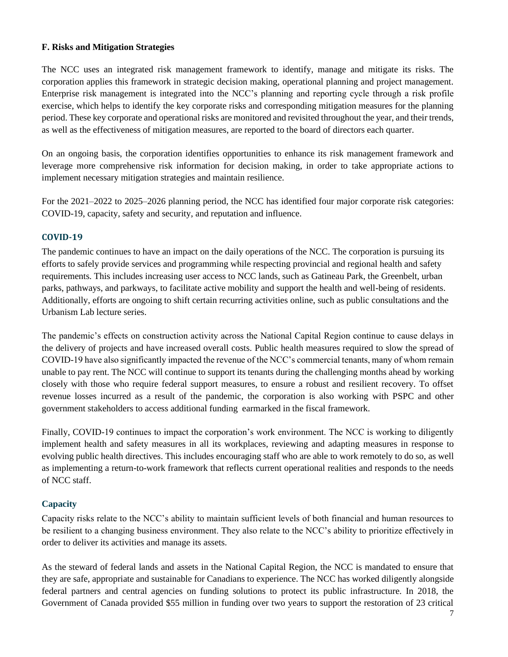### **F. Risks and Mitigation Strategies**

The NCC uses an integrated risk management framework to identify, manage and mitigate its risks. The corporation applies this framework in strategic decision making, operational planning and project management. Enterprise risk management is integrated into the NCC's planning and reporting cycle through a risk profile exercise, which helps to identify the key corporate risks and corresponding mitigation measures for the planning period. These key corporate and operational risks are monitored and revisited throughout the year, and their trends, as well as the effectiveness of mitigation measures, are reported to the board of directors each quarter.

On an ongoing basis, the corporation identifies opportunities to enhance its risk management framework and leverage more comprehensive risk information for decision making, in order to take appropriate actions to implement necessary mitigation strategies and maintain resilience.

For the 2021–2022 to 2025–2026 planning period, the NCC has identified four major corporate risk categories: COVID-19, capacity, safety and security, and reputation and influence.

# **COVID-19**

The pandemic continues to have an impact on the daily operations of the NCC. The corporation is pursuing its efforts to safely provide services and programming while respecting provincial and regional health and safety requirements. This includes increasing user access to NCC lands, such as Gatineau Park, the Greenbelt, urban parks, pathways, and parkways, to facilitate active mobility and support the health and well-being of residents. Additionally, efforts are ongoing to shift certain recurring activities online, such as public consultations and the Urbanism Lab lecture series.

The pandemic's effects on construction activity across the National Capital Region continue to cause delays in the delivery of projects and have increased overall costs. Public health measures required to slow the spread of COVID-19 have also significantly impacted the revenue of the NCC's commercial tenants, many of whom remain unable to pay rent. The NCC will continue to support its tenants during the challenging months ahead by working closely with those who require federal support measures, to ensure a robust and resilient recovery. To offset revenue losses incurred as a result of the pandemic, the corporation is also working with PSPC and other government stakeholders to access additional funding earmarked in the fiscal framework.

Finally, COVID-19 continues to impact the corporation's work environment. The NCC is working to diligently implement health and safety measures in all its workplaces, reviewing and adapting measures in response to evolving public health directives. This includes encouraging staff who are able to work remotely to do so, as well as implementing a return-to-work framework that reflects current operational realities and responds to the needs of NCC staff.

# **Capacity**

Capacity risks relate to the NCC's ability to maintain sufficient levels of both financial and human resources to be resilient to a changing business environment. They also relate to the NCC's ability to prioritize effectively in order to deliver its activities and manage its assets.

As the steward of federal lands and assets in the National Capital Region, the NCC is mandated to ensure that they are safe, appropriate and sustainable for Canadians to experience. The NCC has worked diligently alongside federal partners and central agencies on funding solutions to protect its public infrastructure. In 2018, the Government of Canada provided \$55 million in funding over two years to support the restoration of 23 critical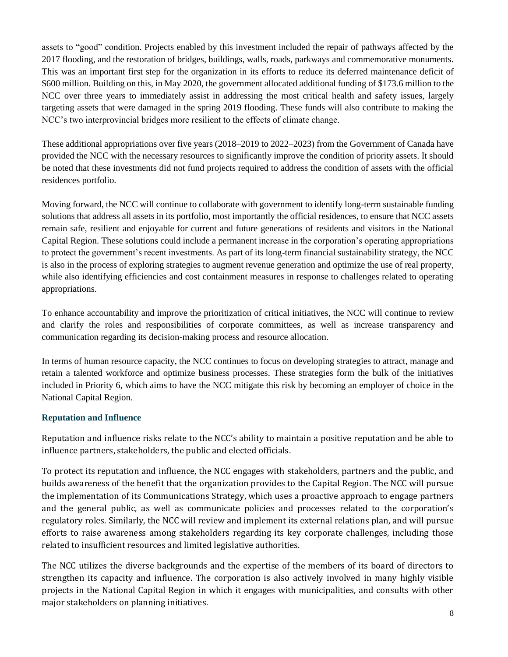assets to "good" condition. Projects enabled by this investment included the repair of pathways affected by the 2017 flooding, and the restoration of bridges, buildings, walls, roads, parkways and commemorative monuments. This was an important first step for the organization in its efforts to reduce its deferred maintenance deficit of \$600 million. Building on this, in May 2020, the government allocated additional funding of \$173.6 million to the NCC over three years to immediately assist in addressing the most critical health and safety issues, largely targeting assets that were damaged in the spring 2019 flooding. These funds will also contribute to making the NCC's two interprovincial bridges more resilient to the effects of climate change.

These additional appropriations over five years (2018–2019 to 2022–2023) from the Government of Canada have provided the NCC with the necessary resources to significantly improve the condition of priority assets. It should be noted that these investments did not fund projects required to address the condition of assets with the official residences portfolio.

Moving forward, the NCC will continue to collaborate with government to identify long-term sustainable funding solutions that address all assets in its portfolio, most importantly the official residences, to ensure that NCC assets remain safe, resilient and enjoyable for current and future generations of residents and visitors in the National Capital Region. These solutions could include a permanent increase in the corporation's operating appropriations to protect the government's recent investments. As part of its long-term financial sustainability strategy, the NCC is also in the process of exploring strategies to augment revenue generation and optimize the use of real property, while also identifying efficiencies and cost containment measures in response to challenges related to operating appropriations.

To enhance accountability and improve the prioritization of critical initiatives, the NCC will continue to review and clarify the roles and responsibilities of corporate committees, as well as increase transparency and communication regarding its decision-making process and resource allocation.

In terms of human resource capacity, the NCC continues to focus on developing strategies to attract, manage and retain a talented workforce and optimize business processes. These strategies form the bulk of the initiatives included in Priority 6, which aims to have the NCC mitigate this risk by becoming an employer of choice in the National Capital Region.

# **Reputation and Influence**

Reputation and influence risks relate to the NCC's ability to maintain a positive reputation and be able to influence partners, stakeholders, the public and elected officials.

To protect its reputation and influence, the NCC engages with stakeholders, partners and the public, and builds awareness of the benefit that the organization provides to the Capital Region. The NCC will pursue the implementation of its Communications Strategy, which uses a proactive approach to engage partners and the general public, as well as communicate policies and processes related to the corporation's regulatory roles. Similarly, the NCC will review and implement its external relations plan, and will pursue efforts to raise awareness among stakeholders regarding its key corporate challenges, including those related to insufficient resources and limited legislative authorities.

The NCC utilizes the diverse backgrounds and the expertise of the members of its board of directors to strengthen its capacity and influence. The corporation is also actively involved in many highly visible projects in the National Capital Region in which it engages with municipalities, and consults with other major stakeholders on planning initiatives.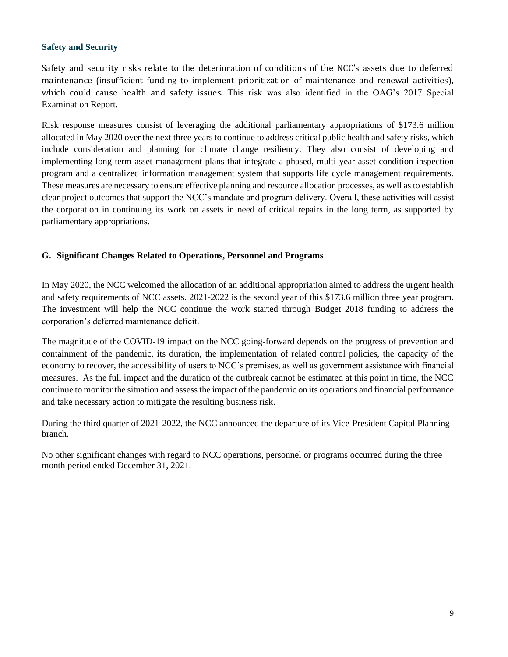#### **Safety and Security**

Safety and security risks relate to the deterioration of conditions of the NCC's assets due to deferred maintenance (insufficient funding to implement prioritization of maintenance and renewal activities), which could cause health and safety issues. This risk was also identified in the OAG's 2017 Special Examination Report.

Risk response measures consist of leveraging the additional parliamentary appropriations of \$173.6 million allocated in May 2020 over the next three years to continue to address critical public health and safety risks, which include consideration and planning for climate change resiliency. They also consist of developing and implementing long-term asset management plans that integrate a phased, multi-year asset condition inspection program and a centralized information management system that supports life cycle management requirements. These measures are necessary to ensure effective planning and resource allocation processes, as well as to establish clear project outcomes that support the NCC's mandate and program delivery. Overall, these activities will assist the corporation in continuing its work on assets in need of critical repairs in the long term, as supported by parliamentary appropriations.

# **G. Significant Changes Related to Operations, Personnel and Programs**

In May 2020, the NCC welcomed the allocation of an additional appropriation aimed to address the urgent health and safety requirements of NCC assets. 2021-2022 is the second year of this \$173.6 million three year program. The investment will help the NCC continue the work started through Budget 2018 funding to address the corporation's deferred maintenance deficit.

The magnitude of the COVID-19 impact on the NCC going-forward depends on the progress of prevention and containment of the pandemic, its duration, the implementation of related control policies, the capacity of the economy to recover, the accessibility of users to NCC's premises, as well as government assistance with financial measures. As the full impact and the duration of the outbreak cannot be estimated at this point in time, the NCC continue to monitor the situation and assess the impact of the pandemic on its operations and financial performance and take necessary action to mitigate the resulting business risk.

During the third quarter of 2021-2022, the NCC announced the departure of its Vice-President Capital Planning branch.

No other significant changes with regard to NCC operations, personnel or programs occurred during the three month period ended December 31, 2021.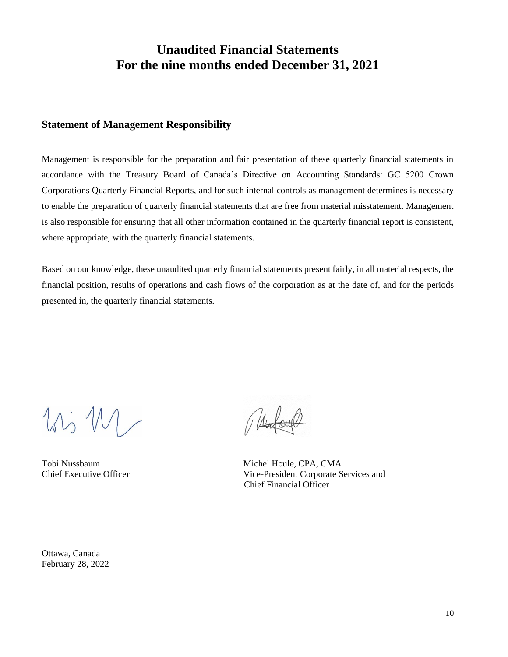# **Unaudited Financial Statements For the nine months ended December 31, 2021**

# **Statement of Management Responsibility**

Management is responsible for the preparation and fair presentation of these quarterly financial statements in accordance with the Treasury Board of Canada's Directive on Accounting Standards: GC 5200 Crown Corporations Quarterly Financial Reports, and for such internal controls as management determines is necessary to enable the preparation of quarterly financial statements that are free from material misstatement. Management is also responsible for ensuring that all other information contained in the quarterly financial report is consistent, where appropriate, with the quarterly financial statements.

Based on our knowledge, these unaudited quarterly financial statements present fairly, in all material respects, the financial position, results of operations and cash flows of the corporation as at the date of, and for the periods presented in, the quarterly financial statements.

 $11, W$ 

Tobi Nussbaum<br>
Chief Executive Officer<br>
Chief Executive Officer<br>
Compared Nice-President Corporate S Vice-President Corporate Services and Chief Financial Officer

Ottawa, Canada February 28, 2022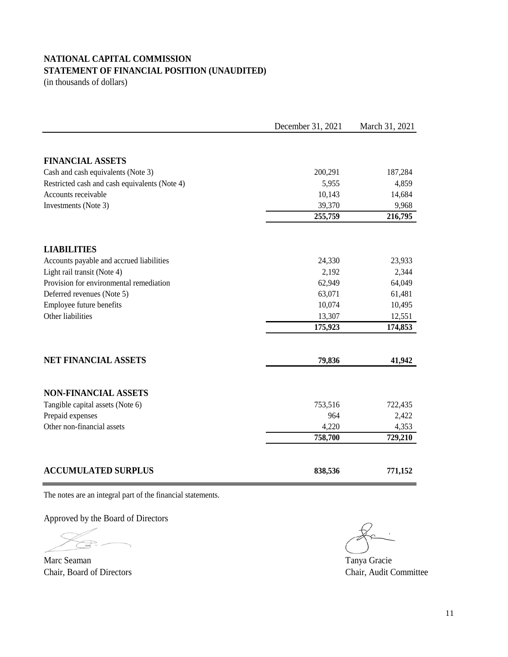# **NATIONAL CAPITAL COMMISSION STATEMENT OF FINANCIAL POSITION (UNAUDITED)**

(in thousands of dollars)

|                                                                | December 31, 2021 | March 31, 2021 |
|----------------------------------------------------------------|-------------------|----------------|
|                                                                |                   |                |
| <b>FINANCIAL ASSETS</b>                                        |                   |                |
| Cash and cash equivalents (Note 3)                             | 200,291           | 187,284        |
| Restricted cash and cash equivalents (Note 4)                  | 5,955             | 4,859          |
| Accounts receivable                                            | 10,143            | 14,684         |
| Investments (Note 3)                                           | 39,370            | 9,968          |
|                                                                | 255,759           | 216,795        |
|                                                                |                   |                |
| <b>LIABILITIES</b><br>Accounts payable and accrued liabilities | 24,330            | 23,933         |
| Light rail transit (Note 4)                                    | 2,192             | 2,344          |
| Provision for environmental remediation                        | 62,949            | 64,049         |
| Deferred revenues (Note 5)                                     | 63,071            | 61,481         |
| Employee future benefits                                       | 10,074            | 10,495         |
| Other liabilities                                              | 13,307            | 12,551         |
|                                                                | 175,923           | 174,853        |
| <b>NET FINANCIAL ASSETS</b>                                    |                   |                |
|                                                                | 79,836            | 41,942         |
| <b>NON-FINANCIAL ASSETS</b>                                    |                   |                |
| Tangible capital assets (Note 6)                               | 753,516           | 722,435        |
| Prepaid expenses                                               | 964               | 2,422          |
| Other non-financial assets                                     | 4,220             | 4,353          |
|                                                                | 758,700           | 729,210        |
|                                                                |                   |                |
| <b>ACCUMULATED SURPLUS</b>                                     | 838,536           | 771,152        |

The notes are an integral part of the financial statements.

Approved by the Board of Directors

Marc Seaman Tanya Gracie Chair, Board of Directors Chair, Audit Committee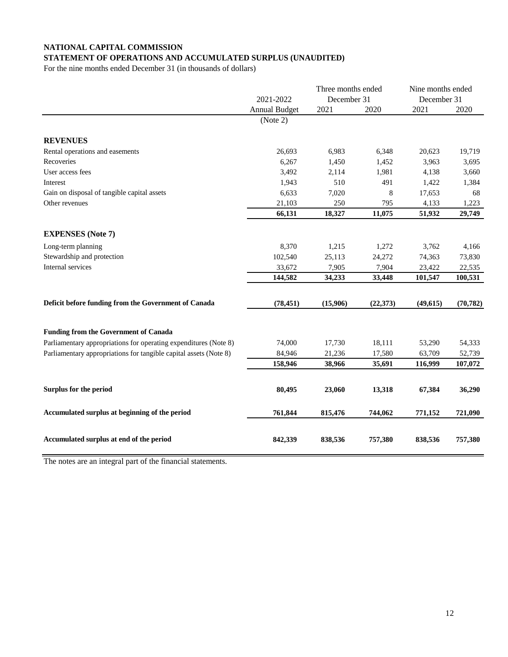#### **NATIONAL CAPITAL COMMISSION STATEMENT OF OPERATIONS AND ACCUMULATED SURPLUS (UNAUDITED)**

For the nine months ended December 31 (in thousands of dollars)

|                                                                   | 2021-2022            |          | Three months ended<br>December 31 |           | Nine months ended<br>December 31 |
|-------------------------------------------------------------------|----------------------|----------|-----------------------------------|-----------|----------------------------------|
|                                                                   | <b>Annual Budget</b> | 2021     | 2020                              | 2021      | 2020                             |
|                                                                   | (Note 2)             |          |                                   |           |                                  |
| <b>REVENUES</b>                                                   |                      |          |                                   |           |                                  |
| Rental operations and easements                                   | 26,693               | 6,983    | 6,348                             | 20,623    | 19,719                           |
| Recoveries                                                        | 6,267                | 1,450    | 1,452                             | 3,963     | 3,695                            |
| User access fees                                                  | 3,492                | 2,114    | 1,981                             | 4,138     | 3,660                            |
| Interest                                                          | 1,943                | 510      | 491                               | 1,422     | 1,384                            |
| Gain on disposal of tangible capital assets                       | 6,633                | 7,020    | 8                                 | 17,653    | 68                               |
| Other revenues                                                    | 21,103               | 250      | 795                               | 4,133     | 1,223                            |
|                                                                   | 66,131               | 18,327   | 11,075                            | 51,932    | 29,749                           |
| <b>EXPENSES</b> (Note 7)                                          |                      |          |                                   |           |                                  |
| Long-term planning                                                | 8,370                | 1,215    | 1,272                             | 3,762     | 4,166                            |
| Stewardship and protection                                        | 102,540              | 25,113   | 24,272                            | 74,363    | 73,830                           |
| Internal services                                                 | 33,672               | 7,905    | 7,904                             | 23,422    | 22,535                           |
|                                                                   | 144,582              | 34,233   | 33,448                            | 101,547   | 100,531                          |
|                                                                   |                      |          |                                   |           |                                  |
| Deficit before funding from the Government of Canada              | (78, 451)            | (15,906) | (22, 373)                         | (49, 615) | (70, 782)                        |
| <b>Funding from the Government of Canada</b>                      |                      |          |                                   |           |                                  |
| Parliamentary appropriations for operating expenditures (Note 8)  | 74,000               | 17,730   | 18,111                            | 53,290    | 54,333                           |
| Parliamentary appropriations for tangible capital assets (Note 8) | 84,946               | 21,236   | 17,580                            | 63,709    | 52,739                           |
|                                                                   | 158,946              | 38,966   | 35,691                            | 116,999   | 107,072                          |
|                                                                   |                      |          |                                   |           |                                  |
| Surplus for the period                                            | 80,495               | 23,060   | 13,318                            | 67,384    | 36,290                           |
| Accumulated surplus at beginning of the period                    | 761,844              | 815,476  | 744,062                           | 771,152   | 721,090                          |
| Accumulated surplus at end of the period                          | 842,339              | 838,536  | 757,380                           | 838,536   | 757,380                          |

The notes are an integral part of the financial statements.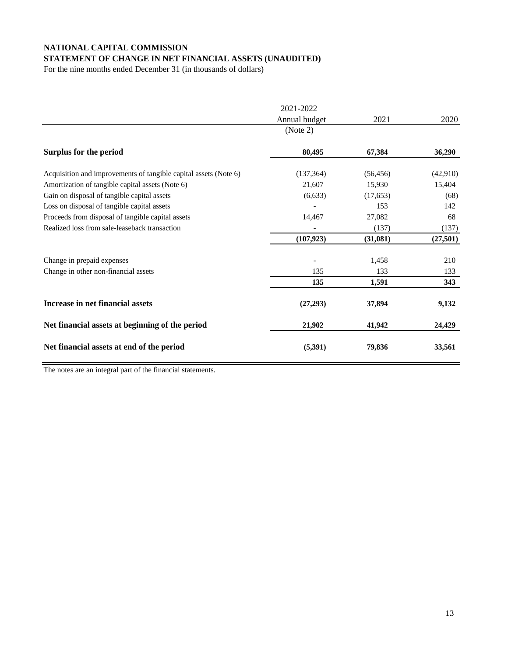# **NATIONAL CAPITAL COMMISSION**

# **STATEMENT OF CHANGE IN NET FINANCIAL ASSETS (UNAUDITED)**

For the nine months ended December 31 (in thousands of dollars)

|                                                                  | 2021-2022     |           |           |
|------------------------------------------------------------------|---------------|-----------|-----------|
|                                                                  | Annual budget | 2021      | 2020      |
|                                                                  | (Note 2)      |           |           |
| <b>Surplus for the period</b>                                    | 80,495        | 67,384    | 36,290    |
| Acquisition and improvements of tangible capital assets (Note 6) | (137, 364)    | (56, 456) | (42,910)  |
| Amortization of tangible capital assets (Note 6)                 | 21,607        | 15,930    | 15,404    |
| Gain on disposal of tangible capital assets                      | (6,633)       | (17, 653) | (68)      |
| Loss on disposal of tangible capital assets                      |               | 153       | 142       |
| Proceeds from disposal of tangible capital assets                | 14,467        | 27,082    | 68        |
| Realized loss from sale-leaseback transaction                    |               | (137)     | (137)     |
|                                                                  | (107, 923)    | (31,081)  | (27, 501) |
| Change in prepaid expenses                                       |               | 1,458     | 210       |
| Change in other non-financial assets                             | 135           | 133       | 133       |
|                                                                  | 135           | 1,591     | 343       |
| Increase in net financial assets                                 | (27, 293)     | 37,894    | 9,132     |
| Net financial assets at beginning of the period                  | 21,902        | 41,942    | 24,429    |
| Net financial assets at end of the period                        | (5,391)       | 79,836    | 33,561    |

The notes are an integral part of the financial statements.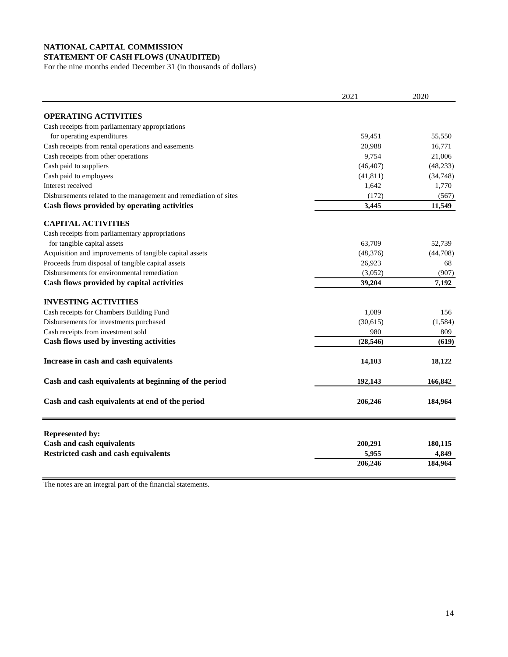#### **NATIONAL CAPITAL COMMISSION STATEMENT OF CASH FLOWS (UNAUDITED)**

For the nine months ended December 31 (in thousands of dollars)

|                                                                  | 2021      | 2020      |
|------------------------------------------------------------------|-----------|-----------|
| <b>OPERATING ACTIVITIES</b>                                      |           |           |
| Cash receipts from parliamentary appropriations                  |           |           |
| for operating expenditures                                       | 59,451    | 55,550    |
| Cash receipts from rental operations and easements               | 20,988    | 16,771    |
| Cash receipts from other operations                              | 9,754     | 21,006    |
| Cash paid to suppliers                                           | (46, 407) | (48, 233) |
| Cash paid to employees                                           | (41, 811) | (34, 748) |
| Interest received                                                | 1,642     | 1,770     |
| Disbursements related to the management and remediation of sites | (172)     | (567)     |
| Cash flows provided by operating activities                      | 3,445     | 11,549    |
| <b>CAPITAL ACTIVITIES</b>                                        |           |           |
| Cash receipts from parliamentary appropriations                  |           |           |
| for tangible capital assets                                      | 63,709    | 52,739    |
| Acquisition and improvements of tangible capital assets          | (48, 376) | (44,708)  |
| Proceeds from disposal of tangible capital assets                | 26,923    | 68        |
| Disbursements for environmental remediation                      | (3,052)   | (907)     |
| Cash flows provided by capital activities                        | 39,204    | 7,192     |
| <b>INVESTING ACTIVITIES</b>                                      |           |           |
| Cash receipts for Chambers Building Fund                         | 1,089     | 156       |
| Disbursements for investments purchased                          | (30,615)  | (1,584)   |
| Cash receipts from investment sold                               | 980       | 809       |
| Cash flows used by investing activities                          | (28, 546) | (619)     |
| Increase in cash and cash equivalents                            | 14,103    | 18,122    |
| Cash and cash equivalents at beginning of the period             | 192,143   | 166,842   |
| Cash and cash equivalents at end of the period                   | 206,246   | 184,964   |
| <b>Represented by:</b>                                           |           |           |
| <b>Cash and cash equivalents</b>                                 | 200,291   | 180,115   |
| <b>Restricted cash and cash equivalents</b>                      | 5,955     | 4,849     |
|                                                                  | 206,246   | 184,964   |

The notes are an integral part of the financial statements.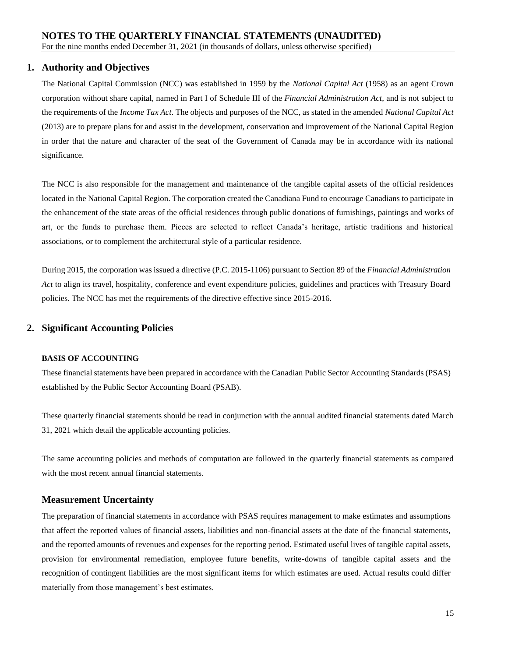## **1. Authority and Objectives**

The National Capital Commission (NCC) was established in 1959 by the *National Capital Act* (1958) as an agent Crown corporation without share capital, named in Part I of Schedule III of the *Financial Administration Act*, and is not subject to the requirements of the *Income Tax Act*. The objects and purposes of the NCC, as stated in the amended *National Capital Act* (2013) are to prepare plans for and assist in the development, conservation and improvement of the National Capital Region in order that the nature and character of the seat of the Government of Canada may be in accordance with its national significance.

The NCC is also responsible for the management and maintenance of the tangible capital assets of the official residences located in the National Capital Region. The corporation created the Canadiana Fund to encourage Canadians to participate in the enhancement of the state areas of the official residences through public donations of furnishings, paintings and works of art, or the funds to purchase them. Pieces are selected to reflect Canada's heritage, artistic traditions and historical associations, or to complement the architectural style of a particular residence.

During 2015, the corporation was issued a directive (P.C. 2015-1106) pursuant to Section 89 of the *Financial Administration Act* to align its travel, hospitality, conference and event expenditure policies, guidelines and practices with Treasury Board policies. The NCC has met the requirements of the directive effective since 2015-2016.

# **2. Significant Accounting Policies**

#### **BASIS OF ACCOUNTING**

These financial statements have been prepared in accordance with the Canadian Public Sector Accounting Standards (PSAS) established by the Public Sector Accounting Board (PSAB).

These quarterly financial statements should be read in conjunction with the annual audited financial statements dated March 31, 2021 which detail the applicable accounting policies.

The same accounting policies and methods of computation are followed in the quarterly financial statements as compared with the most recent annual financial statements.

#### **Measurement Uncertainty**

The preparation of financial statements in accordance with PSAS requires management to make estimates and assumptions that affect the reported values of financial assets, liabilities and non-financial assets at the date of the financial statements, and the reported amounts of revenues and expenses for the reporting period. Estimated useful lives of tangible capital assets, provision for environmental remediation, employee future benefits, write-downs of tangible capital assets and the recognition of contingent liabilities are the most significant items for which estimates are used. Actual results could differ materially from those management's best estimates.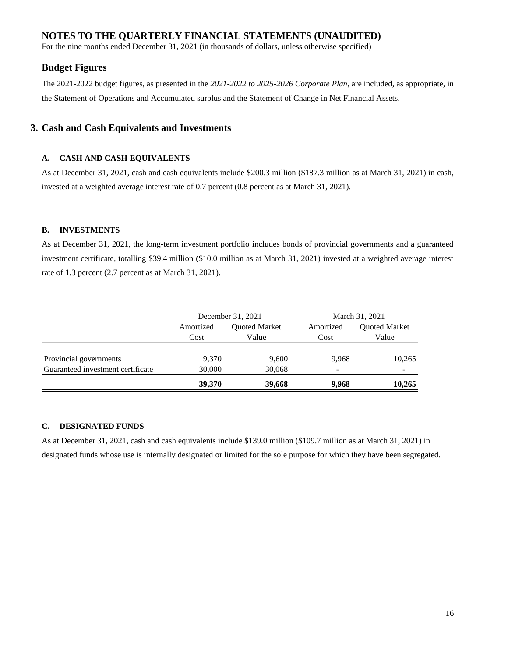For the nine months ended December 31, 2021 (in thousands of dollars, unless otherwise specified)

# **Budget Figures**

The 2021-2022 budget figures, as presented in the *2021-2022 to 2025-2026 Corporate Plan*, are included, as appropriate, in the Statement of Operations and Accumulated surplus and the Statement of Change in Net Financial Assets.

## **3. Cash and Cash Equivalents and Investments**

#### **A. CASH AND CASH EQUIVALENTS**

As at December 31, 2021, cash and cash equivalents include \$200.3 million (\$187.3 million as at March 31, 2021) in cash, invested at a weighted average interest rate of 0.7 percent (0.8 percent as at March 31, 2021).

#### **B. INVESTMENTS**

As at December 31, 2021, the long-term investment portfolio includes bonds of provincial governments and a guaranteed investment certificate, totalling \$39.4 million (\$10.0 million as at March 31, 2021) invested at a weighted average interest rate of 1.3 percent (2.7 percent as at March 31, 2021).

|                                   |               | December 31, 2021 | March 31, 2021 |                      |  |
|-----------------------------------|---------------|-------------------|----------------|----------------------|--|
|                                   | Amortized     | Quoted Market     | Amortized      | <b>Quoted Market</b> |  |
|                                   | Value<br>Cost |                   | Cost           | Value                |  |
|                                   |               |                   |                |                      |  |
| Provincial governments            | 9,370         | 9,600             | 9.968          | 10,265               |  |
| Guaranteed investment certificate | 30,000        | 30,068            |                |                      |  |
|                                   | 39,370        | 39,668            | 9.968          | 10,265               |  |

#### **C. DESIGNATED FUNDS**

As at December 31, 2021, cash and cash equivalents include \$139.0 million (\$109.7 million as at March 31, 2021) in designated funds whose use is internally designated or limited for the sole purpose for which they have been segregated.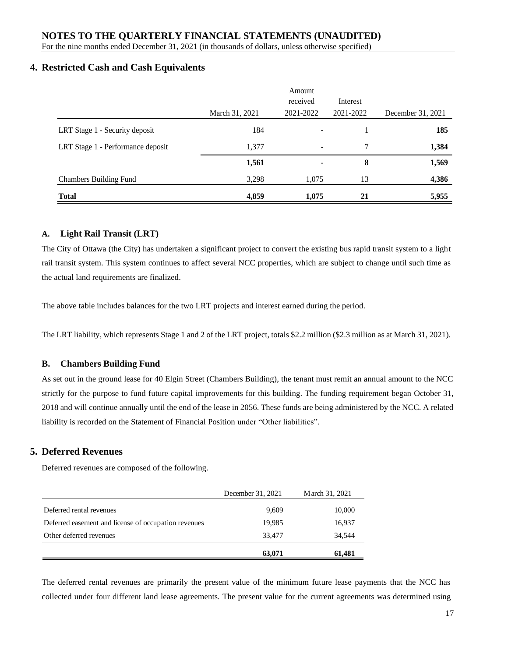## **NOTES TO THE QUARTERLY FINANCIAL STATEMENTS (UNAUDITED)**

For the nine months ended December 31, 2021 (in thousands of dollars, unless otherwise specified)

#### **4. Restricted Cash and Cash Equivalents**

|                                   |                | Amount<br>received | Interest  |                   |
|-----------------------------------|----------------|--------------------|-----------|-------------------|
|                                   | March 31, 2021 | 2021-2022          | 2021-2022 | December 31, 2021 |
| LRT Stage 1 - Security deposit    | 184            |                    |           | 185               |
| LRT Stage 1 - Performance deposit | 1,377          |                    | 7         | 1,384             |
|                                   | 1,561          |                    | 8         | 1,569             |
| <b>Chambers Building Fund</b>     | 3,298          | 1,075              | 13        | 4,386             |
| <b>Total</b>                      | 4,859          | 1,075              | 21        | 5,955             |

#### **A. Light Rail Transit (LRT)**

The City of Ottawa (the City) has undertaken a significant project to convert the existing bus rapid transit system to a light rail transit system. This system continues to affect several NCC properties, which are subject to change until such time as the actual land requirements are finalized.

The above table includes balances for the two LRT projects and interest earned during the period.

The LRT liability, which represents Stage 1 and 2 of the LRT project, totals \$2.2 million (\$2.3 million as at March 31, 2021).

#### **B. Chambers Building Fund**

As set out in the ground lease for 40 Elgin Street (Chambers Building), the tenant must remit an annual amount to the NCC strictly for the purpose to fund future capital improvements for this building. The funding requirement began October 31, 2018 and will continue annually until the end of the lease in 2056. These funds are being administered by the NCC. A related liability is recorded on the Statement of Financial Position under "Other liabilities".

#### **5. Deferred Revenues**

Deferred revenues are composed of the following.

|                                                      | December 31, 2021 | March 31, 2021 |
|------------------------------------------------------|-------------------|----------------|
| Deferred rental revenues                             | 9,609             | 10,000         |
| Deferred easement and license of occupation revenues | 19,985            | 16,937         |
| Other deferred revenues                              | 33,477            | 34.544         |
|                                                      | 63,071            | 61.481         |

The deferred rental revenues are primarily the present value of the minimum future lease payments that the NCC has collected under four different land lease agreements. The present value for the current agreements was determined using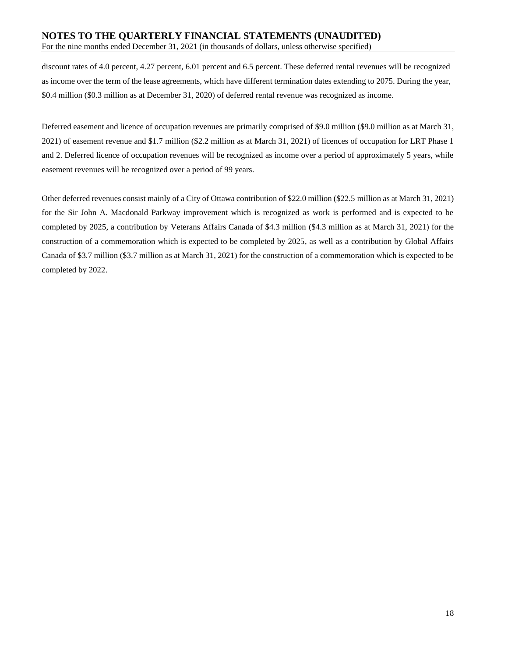# **NOTES TO THE QUARTERLY FINANCIAL STATEMENTS (UNAUDITED)**

For the nine months ended December 31, 2021 (in thousands of dollars, unless otherwise specified)

discount rates of 4.0 percent, 4.27 percent, 6.01 percent and 6.5 percent. These deferred rental revenues will be recognized as income over the term of the lease agreements, which have different termination dates extending to 2075. During the year, \$0.4 million (\$0.3 million as at December 31, 2020) of deferred rental revenue was recognized as income.

Deferred easement and licence of occupation revenues are primarily comprised of \$9.0 million (\$9.0 million as at March 31, 2021) of easement revenue and \$1.7 million (\$2.2 million as at March 31, 2021) of licences of occupation for LRT Phase 1 and 2. Deferred licence of occupation revenues will be recognized as income over a period of approximately 5 years, while easement revenues will be recognized over a period of 99 years.

Other deferred revenues consist mainly of a City of Ottawa contribution of \$22.0 million (\$22.5 million as at March 31, 2021) for the Sir John A. Macdonald Parkway improvement which is recognized as work is performed and is expected to be completed by 2025, a contribution by Veterans Affairs Canada of \$4.3 million (\$4.3 million as at March 31, 2021) for the construction of a commemoration which is expected to be completed by 2025, as well as a contribution by Global Affairs Canada of \$3.7 million (\$3.7 million as at March 31, 2021) for the construction of a commemoration which is expected to be completed by 2022.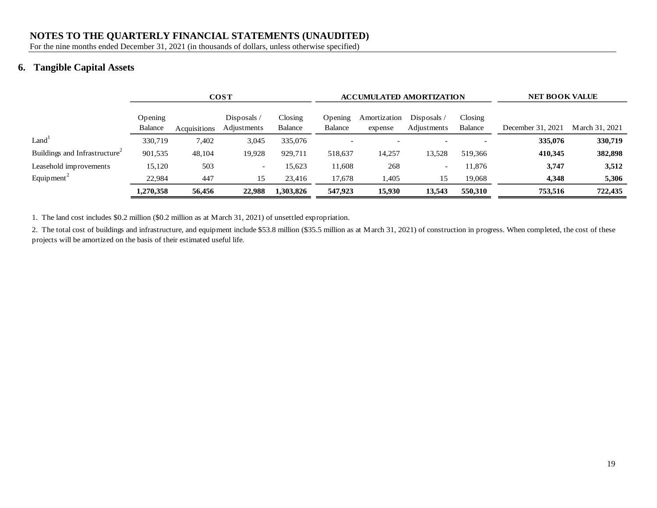### **NOTES TO THE QUARTERLY FINANCIAL STATEMENTS (UNAUDITED)**

For the nine months ended December 31, 2021 (in thousands of dollars, unless otherwise specified)

# **6. Tangible Capital Assets**

|                                           | <b>COST</b>               |              |                            |                          | <b>ACCUMULATED AMORTIZATION</b> |                         | <b>NET BOOK VALUE</b>      |                          |                   |                |
|-------------------------------------------|---------------------------|--------------|----------------------------|--------------------------|---------------------------------|-------------------------|----------------------------|--------------------------|-------------------|----------------|
|                                           | Opening<br><b>Balance</b> | Acquisitions | Disposals /<br>Adjustments | $\frac{1}{2}$<br>Balance | Opening<br><b>Balance</b>       | Amortization<br>expense | Disposals /<br>Adjustments | $\frac{1}{2}$<br>Balance | December 31, 2021 | March 31, 2021 |
| Land <sup>1</sup>                         | 330,719                   | 7,402        | 3,045                      | 335,076                  |                                 |                         |                            |                          | 335,076           | 330,719        |
| Buildings and Infrastructure <sup>2</sup> | 901,535                   | 48,104       | 19,928                     | 929,711                  | 518,637                         | 14,257                  | 13,528                     | 519.366                  | 410,345           | 382,898        |
| Leasehold improvements                    | 15,120                    | 503          | -                          | 15,623                   | 11,608                          | 268                     | $\overline{\phantom{a}}$   | 11,876                   | 3,747             | 3,512          |
| Equipment <sup>2</sup>                    | 22,984                    | 447          | 15                         | 23,416                   | 17,678                          | 1,405                   | 15                         | 19,068                   | 4,348             | 5,306          |
|                                           | 1,270,358                 | 56,456       | 22,988                     | 1,303,826                | 547,923                         | 15,930                  | 13,543                     | 550,310                  | 753,516           | 722,435        |

1. The land cost includes \$0.2 million (\$0.2 million as at March 31, 2021) of unsettled expropriation.

2. The total cost of buildings and infrastructure, and equipment include \$53.8 million (\$35.5 million as at March 31, 2021) of construction in progress. When completed, the cost of these projects will be amortized on the basis of their estimated useful life.